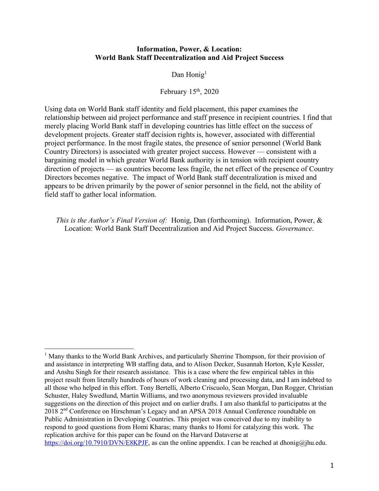#### **Information, Power, & Location: World Bank Staff Decentralization and Aid Project Success**

#### Dan Honig<sup>1</sup>

February  $15<sup>th</sup>$ , 2020

Using data on World Bank staff identity and field placement, this paper examines the relationship between aid project performance and staff presence in recipient countries. I find that merely placing World Bank staff in developing countries has little effect on the success of development projects. Greater staff decision rights is, however, associated with differential project performance. In the most fragile states, the presence of senior personnel (World Bank Country Directors) is associated with greater project success. However — consistent with a bargaining model in which greater World Bank authority is in tension with recipient country direction of projects — as countries become less fragile, the net effect of the presence of Country Directors becomes negative. The impact of World Bank staff decentralization is mixed and appears to be driven primarily by the power of senior personnel in the field, not the ability of field staff to gather local information.

*This is the Author's Final Version of:* Honig, Dan (forthcoming). Information, Power, & Location: World Bank Staff Decentralization and Aid Project Success. *Governance*.

<sup>&</sup>lt;sup>1</sup> Many thanks to the World Bank Archives, and particularly Sherrine Thompson, for their provision of and assistance in interpreting WB staffing data, and to Alison Decker, Susannah Horton, Kyle Kessler, and Anshu Singh for their research assistance. This is a case where the few empirical tables in this project result from literally hundreds of hours of work cleaning and processing data, and I am indebted to all those who helped in this effort. Tony Bertelli, Alberto Criscuolo, Sean Morgan, Dan Rogger, Christian Schuster, Haley Swedlund, Martin Williams, and two anonymous reviewers provided invaluable suggestions on the direction of this project and on earlier drafts. I am also thankful to participatns at the 2018 2<sup>nd</sup> Conference on Hirschman's Legacy and an APSA 2018 Annual Conference roundtable on Public Administration in Developing Countries. This project was conceived due to my inability to respond to good questions from Homi Kharas; many thanks to Homi for catalyzing this work. The replication archive for this paper can be found on the Harvard Dataverse at https://doi.org/10.7910/DVN/E8KPJF, as can the online appendix. I can be reached at dhonig@jhu.edu.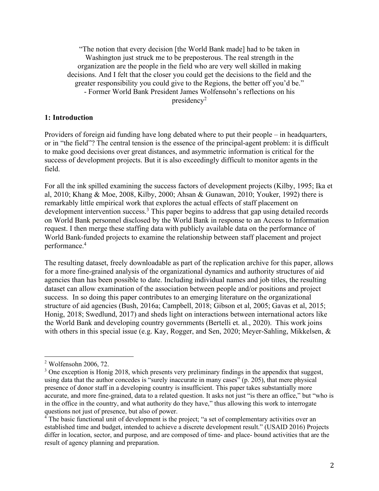"The notion that every decision [the World Bank made] had to be taken in Washington just struck me to be preposterous. The real strength in the organization are the people in the field who are very well skilled in making decisions. And I felt that the closer you could get the decisions to the field and the greater responsibility you could give to the Regions, the better off you'd be." - Former World Bank President James Wolfensohn's reflections on his presidency2

### **1: Introduction**

Providers of foreign aid funding have long debated where to put their people – in headquarters, or in "the field"? The central tension is the essence of the principal-agent problem: it is difficult to make good decisions over great distances, and asymmetric information is critical for the success of development projects. But it is also exceedingly difficult to monitor agents in the field.

For all the ink spilled examining the success factors of development projects (Kilby, 1995; Ika et al, 2010; Khang & Moe, 2008, Kilby, 2000; Ahsan & Gunawan, 2010; Youker, 1992) there is remarkably little empirical work that explores the actual effects of staff placement on development intervention success.<sup>3</sup> This paper begins to address that gap using detailed records on World Bank personnel disclosed by the World Bank in response to an Access to Information request. I then merge these staffing data with publicly available data on the performance of World Bank-funded projects to examine the relationship between staff placement and project performance.4

The resulting dataset, freely downloadable as part of the replication archive for this paper, allows for a more fine-grained analysis of the organizational dynamics and authority structures of aid agencies than has been possible to date. Including individual names and job titles, the resulting dataset can allow examination of the association between people and/or positions and project success. In so doing this paper contributes to an emerging literature on the organizational structure of aid agencies (Bush, 2016a; Campbell, 2018; Gibson et al, 2005; Gavas et al, 2015; Honig, 2018; Swedlund, 2017) and sheds light on interactions between international actors like the World Bank and developing country governments (Bertelli et. al., 2020). This work joins with others in this special issue (e.g. Kay, Rogger, and Sen, 2020; Meyer-Sahling, Mikkelsen, &

 <sup>2</sup> Wolfensohn 2006, 72.

<sup>&</sup>lt;sup>3</sup> One exception is Honig 2018, which presents very preliminary findings in the appendix that suggest, using data that the author concedes is "surely inaccurate in many cases" (p. 205), that mere physical presence of donor staff in a developing country is insufficient. This paper takes substantially more accurate, and more fine-grained, data to a related question. It asks not just "is there an office," but "who is in the office in the country, and what authority do they have," thus allowing this work to interrogate questions not just of presence, but also of power.

<sup>&</sup>lt;sup>4</sup> The basic functional unit of development is the project; "a set of complementary activities over an established time and budget, intended to achieve a discrete development result." (USAID 2016) Projects differ in location, sector, and purpose, and are composed of time- and place- bound activities that are the result of agency planning and preparation.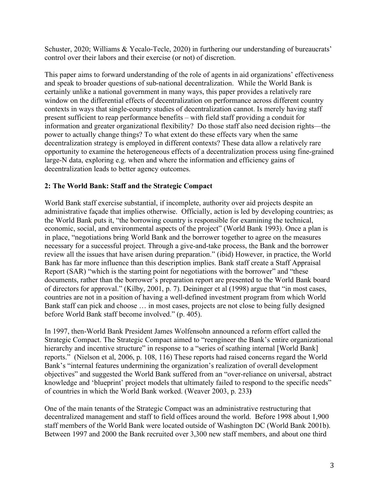Schuster, 2020; Williams & Yecalo-Tecle, 2020) in furthering our understanding of bureaucrats' control over their labors and their exercise (or not) of discretion.

This paper aims to forward understanding of the role of agents in aid organizations' effectiveness and speak to broader questions of sub-national decentralization. While the World Bank is certainly unlike a national government in many ways, this paper provides a relatively rare window on the differential effects of decentralization on performance across different country contexts in ways that single-country studies of decentralization cannot. Is merely having staff present sufficient to reap performance benefits – with field staff providing a conduit for information and greater organizational flexibility? Do those staff also need decision rights—the power to actually change things? To what extent do these effects vary when the same decentralization strategy is employed in different contexts? These data allow a relatively rare opportunity to examine the heterogeneous effects of a decentralization process using fine-grained large-N data, exploring e.g. when and where the information and efficiency gains of decentralization leads to better agency outcomes.

# **2: The World Bank: Staff and the Strategic Compact**

World Bank staff exercise substantial, if incomplete, authority over aid projects despite an administrative façade that implies otherwise. Officially, action is led by developing countries; as the World Bank puts it, "the borrowing country is responsible for examining the technical, economic, social, and environmental aspects of the project" (World Bank 1993). Once a plan is in place, "negotiations bring World Bank and the borrower together to agree on the measures necessary for a successful project. Through a give-and-take process, the Bank and the borrower review all the issues that have arisen during preparation." (ibid) However, in practice, the World Bank has far more influence than this description implies. Bank staff create a Staff Appraisal Report (SAR) "which is the starting point for negotiations with the borrower" and "these documents, rather than the borrower's preparation report are presented to the World Bank board of directors for approval." (Kilby, 2001, p. 7). Deininger et al (1998) argue that "in most cases, countries are not in a position of having a well-defined investment program from which World Bank staff can pick and choose … in most cases, projects are not close to being fully designed before World Bank staff become involved." (p. 405).

In 1997, then-World Bank President James Wolfensohn announced a reform effort called the Strategic Compact. The Strategic Compact aimed to "reengineer the Bank's entire organizational hierarchy and incentive structure" in response to a "series of scathing internal [World Bank] reports." (Nielson et al, 2006, p. 108, 116) These reports had raised concerns regard the World Bank's "internal features undermining the organization's realization of overall development objectives" and suggested the World Bank suffered from an "over-reliance on universal, abstract knowledge and 'blueprint' project models that ultimately failed to respond to the specific needs" of countries in which the World Bank worked. (Weaver 2003, p. 233**)**

One of the main tenants of the Strategic Compact was an administrative restructuring that decentralized management and staff to field offices around the world. Before 1998 about 1,900 staff members of the World Bank were located outside of Washington DC (World Bank 2001b). Between 1997 and 2000 the Bank recruited over 3,300 new staff members, and about one third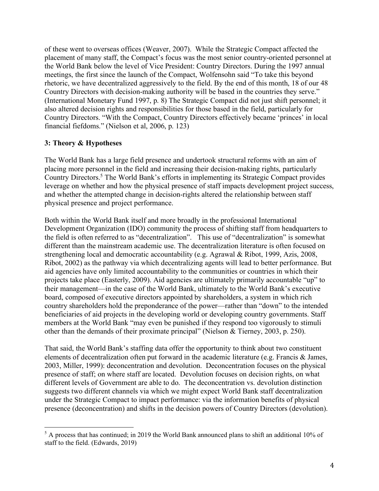of these went to overseas offices (Weaver, 2007). While the Strategic Compact affected the placement of many staff, the Compact's focus was the most senior country-oriented personnel at the World Bank below the level of Vice President: Country Directors. During the 1997 annual meetings, the first since the launch of the Compact, Wolfensohn said "To take this beyond rhetoric, we have decentralized aggressively to the field. By the end of this month, 18 of our 48 Country Directors with decision-making authority will be based in the countries they serve." (International Monetary Fund 1997, p. 8) The Strategic Compact did not just shift personnel; it also altered decision rights and responsibilities for those based in the field, particularly for Country Directors. "With the Compact, Country Directors effectively became 'princes' in local financial fiefdoms." (Nielson et al, 2006, p. 123)

# **3: Theory & Hypotheses**

The World Bank has a large field presence and undertook structural reforms with an aim of placing more personnel in the field and increasing their decision-making rights, particularly Country Directors.5 The World Bank's efforts in implementing its Strategic Compact provides leverage on whether and how the physical presence of staff impacts development project success, and whether the attempted change in decision-rights altered the relationship between staff physical presence and project performance.

Both within the World Bank itself and more broadly in the professional International Development Organization (IDO) community the process of shifting staff from headquarters to the field is often referred to as "decentralization". This use of "decentralization" is somewhat different than the mainstream academic use. The decentralization literature is often focused on strengthening local and democratic accountability (e.g. Agrawal & Ribot, 1999, Azis, 2008, Ribot, 2002) as the pathway via which decentralizing agents will lead to better performance. But aid agencies have only limited accountability to the communities or countries in which their projects take place (Easterly, 2009). Aid agencies are ultimately primarily accountable "up" to their management—in the case of the World Bank, ultimately to the World Bank's executive board, composed of executive directors appointed by shareholders, a system in which rich country shareholders hold the preponderance of the power—rather than "down" to the intended beneficiaries of aid projects in the developing world or developing country governments. Staff members at the World Bank "may even be punished if they respond too vigorously to stimuli other than the demands of their proximate principal" (Nielson & Tierney, 2003, p. 250).

That said, the World Bank's staffing data offer the opportunity to think about two constituent elements of decentralization often put forward in the academic literature (e.g. Francis & James, 2003, Miller, 1999): deconcentration and devolution. Deconcentration focuses on the physical presence of staff; on where staff are located. Devolution focuses on decision rights, on what different levels of Government are able to do. The deconcentration vs. devolution distinction suggests two different channels via which we might expect World Bank staff decentralization under the Strategic Compact to impact performance: via the information benefits of physical presence (deconcentration) and shifts in the decision powers of Country Directors (devolution).

<sup>&</sup>lt;sup>5</sup> A process that has continued; in 2019 the World Bank announced plans to shift an additional 10% of staff to the field. (Edwards, 2019)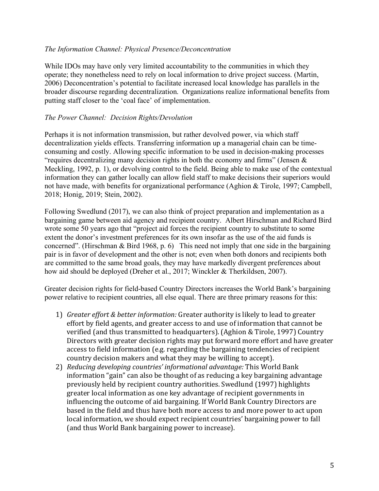#### *The Information Channel: Physical Presence/Deconcentration*

While IDOs may have only very limited accountability to the communities in which they operate; they nonetheless need to rely on local information to drive project success. (Martin, 2006) Deconcentration's potential to facilitate increased local knowledge has parallels in the broader discourse regarding decentralization. Organizations realize informational benefits from putting staff closer to the 'coal face' of implementation.

### *The Power Channel: Decision Rights/Devolution*

Perhaps it is not information transmission, but rather devolved power, via which staff decentralization yields effects. Transferring information up a managerial chain can be timeconsuming and costly. Allowing specific information to be used in decision-making processes "requires decentralizing many decision rights in both the economy and firms" (Jensen & Meckling, 1992, p. 1), or devolving control to the field. Being able to make use of the contextual information they can gather locally can allow field staff to make decisions their superiors would not have made, with benefits for organizational performance (Aghion & Tirole, 1997; Campbell, 2018; Honig, 2019; Stein, 2002).

Following Swedlund (2017), we can also think of project preparation and implementation as a bargaining game between aid agency and recipient country. Albert Hirschman and Richard Bird wrote some 50 years ago that "project aid forces the recipient country to substitute to some extent the donor's investment preferences for its own insofar as the use of the aid funds is concerned". (Hirschman  $& Bird 1968, p. 6$ ) This need not imply that one side in the bargaining pair is in favor of development and the other is not; even when both donors and recipients both are committed to the same broad goals, they may have markedly divergent preferences about how aid should be deployed (Dreher et al., 2017; Winckler & Therkildsen, 2007).

Greater decision rights for field-based Country Directors increases the World Bank's bargaining power relative to recipient countries, all else equal. There are three primary reasons for this:

- 1) *Greater effort & better information:* Greater authority is likely to lead to greater effort by field agents, and greater access to and use of information that cannot be verified (and thus transmitted to headquarters). (Aghion & Tirole, 1997) Country Directors with greater decision rights may put forward more effort and have greater access to field information (e.g. regarding the bargaining tendencies of recipient country decision makers and what they may be willing to accept).
- 2) *Reducing developing countries' informational advantage:* This World Bank information "gain" can also be thought of as reducing a key bargaining advantage previously held by recipient country authorities. Swedlund (1997) highlights greater local information as one key advantage of recipient governments in influencing the outcome of aid bargaining. If World Bank Country Directors are based in the field and thus have both more access to and more power to act upon local information, we should expect recipient countries' bargaining power to fall (and thus World Bank bargaining power to increase).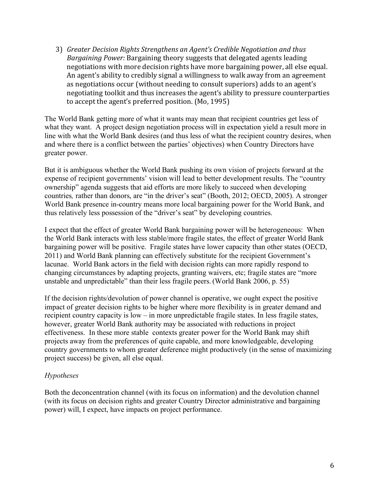3) *Greater Decision Rights Strengthens an Agent's Credible Negotiation and thus* Bargaining Power: Bargaining theory suggests that delegated agents leading negotiations with more decision rights have more bargaining power, all else equal. An agent's ability to credibly signal a willingness to walk away from an agreement as negotiations occur (without needing to consult superiors) adds to an agent's negotiating toolkit and thus increases the agent's ability to pressure counterparties to accept the agent's preferred position. (Mo, 1995)

The World Bank getting more of what it wants may mean that recipient countries get less of what they want. A project design negotiation process will in expectation yield a result more in line with what the World Bank desires (and thus less of what the recipient country desires, when and where there is a conflict between the parties' objectives) when Country Directors have greater power.

But it is ambiguous whether the World Bank pushing its own vision of projects forward at the expense of recipient governments' vision will lead to better development results. The "country ownership" agenda suggests that aid efforts are more likely to succeed when developing countries*,* rather than donors, are "in the driver's seat" (Booth, 2012; OECD, 2005). A stronger World Bank presence in-country means more local bargaining power for the World Bank, and thus relatively less possession of the "driver's seat" by developing countries.

I expect that the effect of greater World Bank bargaining power will be heterogeneous: When the World Bank interacts with less stable/more fragile states, the effect of greater World Bank bargaining power will be positive. Fragile states have lower capacity than other states (OECD, 2011) and World Bank planning can effectively substitute for the recipient Government's lacunae. World Bank actors in the field with decision rights can more rapidly respond to changing circumstances by adapting projects, granting waivers, etc; fragile states are "more unstable and unpredictable" than their less fragile peers. (World Bank 2006, p. 55)

If the decision rights/devolution of power channel is operative, we ought expect the positive impact of greater decision rights to be higher where more flexibility is in greater demand and recipient country capacity is low – in more unpredictable fragile states. In less fragile states, however, greater World Bank authority may be associated with reductions in project effectiveness. In these more stable contexts greater power for the World Bank may shift projects away from the preferences of quite capable, and more knowledgeable, developing country governments to whom greater deference might productively (in the sense of maximizing project success) be given, all else equal.

### *Hypotheses*

Both the deconcentration channel (with its focus on information) and the devolution channel (with its focus on decision rights and greater Country Director administrative and bargaining power) will, I expect, have impacts on project performance.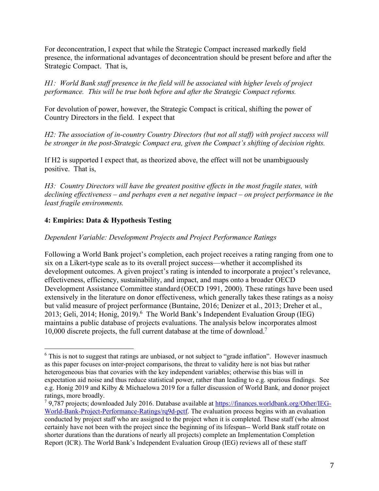For deconcentration, I expect that while the Strategic Compact increased markedly field presence, the informational advantages of deconcentration should be present before and after the Strategic Compact. That is,

*H1: World Bank staff presence in the field will be associated with higher levels of project performance. This will be true both before and after the Strategic Compact reforms.*

For devolution of power, however, the Strategic Compact is critical, shifting the power of Country Directors in the field. I expect that

*H2: The association of in-country Country Directors (but not all staff) with project success will be stronger in the post-Strategic Compact era, given the Compact's shifting of decision rights.* 

If H2 is supported I expect that, as theorized above, the effect will not be unambiguously positive. That is,

*H3: Country Directors will have the greatest positive effects in the most fragile states, with declining effectiveness – and perhaps even a net negative impact – on project performance in the least fragile environments.*

# **4: Empirics: Data & Hypothesis Testing**

*Dependent Variable: Development Projects and Project Performance Ratings*

Following a World Bank project's completion, each project receives a rating ranging from one to six on a Likert-type scale as to its overall project success—whether it accomplished its development outcomes. A given project's rating is intended to incorporate a project's relevance, effectiveness, efficiency, sustainability, and impact, and maps onto a broader OECD Development Assistance Committee standard (OECD 1991, 2000). These ratings have been used extensively in the literature on donor effectiveness, which generally takes these ratings as a noisy but valid measure of project performance (Buntaine, 2016; Denizer et al., 2013; Dreher et al., 2013; Geli, 2014; Honig, 2019).<sup>6</sup> The World Bank's Independent Evaluation Group (IEG) maintains a public database of projects evaluations. The analysis below incorporates almost 10,000 discrete projects, the full current database at the time of download.<sup>7</sup>

<sup>&</sup>lt;sup>6</sup> This is not to suggest that ratings are unbiased, or not subject to "grade inflation". However inasmuch as this paper focuses on inter-project comparisons, the threat to validity here is not bias but rather heterogeneous bias that covaries with the key independent variables; otherwise this bias will in expectation aid noise and thus reduce statistical power, rather than leading to e.g. spurious findings. See e.g. Honig 2019 and Kilby & Michaelowa 2019 for a fuller discussion of World Bank, and donor project ratings, more broadly.

 $79.787$  projects; downloaded July 2016. Database available at https://finances.worldbank.org/Other/IEG-World-Bank-Project-Performance-Ratings/rq9d-pctf. The evaluation process begins with an evaluation conducted by project staff who are assigned to the project when it is completed. These staff (who almost certainly have not been with the project since the beginning of its lifespan-- World Bank staff rotate on shorter durations than the durations of nearly all projects) complete an Implementation Completion Report (ICR). The World Bank's Independent Evaluation Group (IEG) reviews all of these staff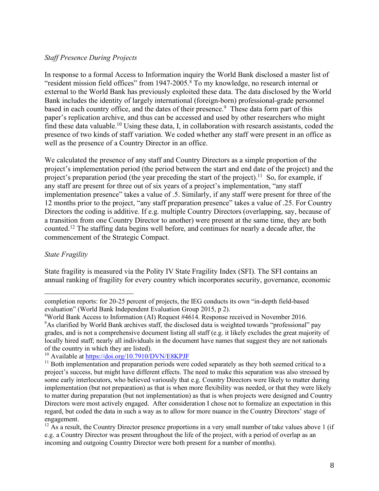### *Staff Presence During Projects*

In response to a formal Access to Information inquiry the World Bank disclosed a master list of "resident mission field offices" from 1947-2005.<sup>8</sup> To my knowledge, no research internal or external to the World Bank has previously exploited these data. The data disclosed by the World Bank includes the identity of largely international (foreign-born) professional-grade personnel based in each country office, and the dates of their presence.<sup>9</sup> These data form part of this paper's replication archive, and thus can be accessed and used by other researchers who might find these data valuable.<sup>10</sup> Using these data, I, in collaboration with research assistants, coded the presence of two kinds of staff variation. We coded whether any staff were present in an office as well as the presence of a Country Director in an office.

We calculated the presence of any staff and Country Directors as a simple proportion of the project's implementation period (the period between the start and end date of the project) and the project's preparation period (the year preceding the start of the project).<sup>11</sup> So, for example, if any staff are present for three out of six years of a project's implementation, "any staff implementation presence" takes a value of .5. Similarly, if any staff were present for three of the 12 months prior to the project, "any staff preparation presence" takes a value of .25. For Country Directors the coding is additive. If e.g. multiple Country Directors (overlapping, say, because of a transition from one Country Director to another) were present at the same time, they are both counted.12 The staffing data begins well before, and continues for nearly a decade after, the commencement of the Strategic Compact.

### *State Fragility*

 $\overline{a}$ 

State fragility is measured via the Polity IV State Fragility Index (SFI). The SFI contains an annual ranking of fragility for every country which incorporates security, governance, economic

completion reports: for 20-25 percent of projects, the IEG conducts its own "in-depth field-based evaluation" (World Bank Independent Evaluation Group 2015, p 2).

<sup>&</sup>lt;sup>8</sup>World Bank Access to Information (AI) Request #4614. Response received in November 2016. <sup>9</sup>As clarified by World Bank archives staff, the disclosed data is weighted towards "professional" pay grades, and is not a comprehensive document listing all staff (e.g. it likely excludes the great majority of locally hired staff; nearly all individuals in the document have names that suggest they are not nationals of the country in which they are listed).

<sup>&</sup>lt;sup>10</sup> Available at https://doi.org/10.7910/DVN/E8KPJF

 $11$  Both implementation and preparation periods were coded separately as they both seemed critical to a project's success, but might have different effects. The need to make this separation was also stressed by some early interlocutors, who believed variously that e.g. Country Directors were likely to matter during implementation (but not preparation) as that is when more flexibility was needed, or that they were likely to matter during preparation (but not implementation) as that is when projects were designed and Country Directors were most actively engaged. After consideration I chose not to formalize an expectation in this regard, but coded the data in such a way as to allow for more nuance in the Country Directors' stage of engagement.

 $12$  As a result, the Country Director presence proportions in a very small number of take values above 1 (if e.g. a Country Director was present throughout the life of the project, with a period of overlap as an incoming and outgoing Country Director were both present for a number of months).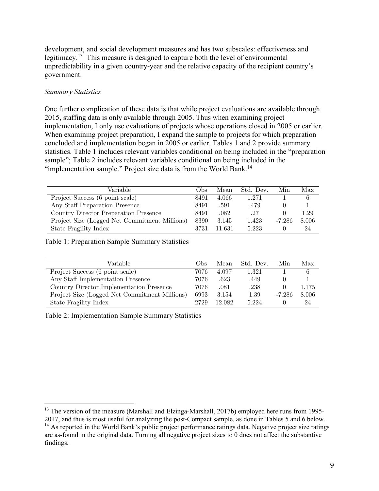development, and social development measures and has two subscales: effectiveness and legitimacy.13 This measure is designed to capture both the level of environmental unpredictability in a given country-year and the relative capacity of the recipient country's government.

### *Summary Statistics*

One further complication of these data is that while project evaluations are available through 2015, staffing data is only available through 2005. Thus when examining project implementation, I only use evaluations of projects whose operations closed in 2005 or earlier. When examining project preparation, I expand the sample to projects for which preparation concluded and implementation began in 2005 or earlier. Tables 1 and 2 provide summary statistics. Table 1 includes relevant variables conditional on being included in the "preparation sample"; Table 2 includes relevant variables conditional on being included in the "implementation sample." Project size data is from the World Bank.14

| Variable                                      | Obs  | Mean   | Std. Dev. | Min      | Max   |
|-----------------------------------------------|------|--------|-----------|----------|-------|
| Project Success (6 point scale)               | 8491 | 4.066  | 1.271     |          | 6     |
| Any Staff Preparation Presence                | 8491 | .591   | .479      |          |       |
| Country Director Preparation Presence         | 8491 | .082   | .27       |          | 1.29  |
| Project Size (Logged Net Commitment Millions) | 8390 | 3.145  | 1.423     | $-7.286$ | 8.006 |
| State Fragility Index                         | 3731 | 11.631 | 5.223     |          | 24    |

Table 1: Preparation Sample Summary Statistics

| Variable                                      | Obs) | Mean   | Std. Dev. | Min      | Max   |
|-----------------------------------------------|------|--------|-----------|----------|-------|
| Project Success (6 point scale)               | 7076 | 4.097  | 1.321     |          | 6     |
| Any Staff Implementation Presence             | 7076 | .623   | .449      |          |       |
| Country Director Implementation Presence      | 7076 | .081   | .238      |          | 1.175 |
| Project Size (Logged Net Commitment Millions) | 6993 | 3.154  | 1.39      | $-7.286$ | 8.006 |
| State Fragility Index                         | 2729 | 12.082 | 5 224     |          | 24    |

Table 2: Implementation Sample Summary Statistics

<sup>&</sup>lt;sup>13</sup> The version of the measure (Marshall and Elzinga-Marshall, 2017b) employed here runs from 1995-

<sup>2017,</sup> and thus is most useful for analyzing the post-Compact sample, as done in Tables 5 and 6 below. <sup>14</sup> As reported in the World Bank's public project performance ratings data. Negative project size ratings are as-found in the original data. Turning all negative project sizes to 0 does not affect the substantive findings.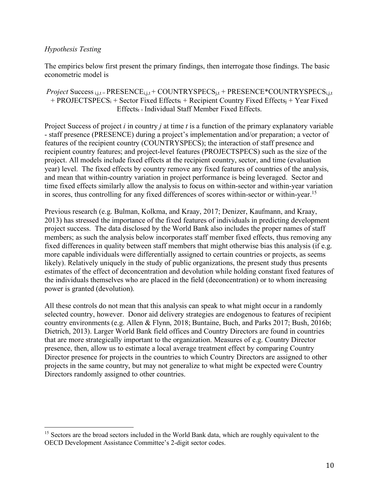## *Hypothesis Testing*

The empirics below first present the primary findings, then interrogate those findings. The basic econometric model is

*Project* Success  $_{i,j,t}$  = PRESENCE $_{i,j,t}$  + COUNTRYSPECS $_{i,t}$  + PRESENCE\*COUNTRYSPECS $_{i,j,t}$  $+$  PROJECTSPECS<sub>i</sub> + Sector Fixed Effects<sub>i</sub> + Recipient Country Fixed Effects<sub>i</sub> + Year Fixed  $Effects_t + Individual Staff Member Fixed Effects.$ 

Project Success of project *i* in country *j* at time *t* is a function of the primary explanatory variable - staff presence (PRESENCE) during a project's implementation and/or preparation; a vector of features of the recipient country (COUNTRYSPECS); the interaction of staff presence and recipient country features; and project-level features (PROJECTSPECS) such as the size of the project. All models include fixed effects at the recipient country, sector, and time (evaluation year) level. The fixed effects by country remove any fixed features of countries of the analysis, and mean that within-country variation in project performance is being leveraged. Sector and time fixed effects similarly allow the analysis to focus on within-sector and within-year variation in scores, thus controlling for any fixed differences of scores within-sector or within-year.15

Previous research (e.g. Bulman, Kolkma, and Kraay, 2017; Denizer, Kaufmann, and Kraay, 2013) has stressed the importance of the fixed features of individuals in predicting development project success. The data disclosed by the World Bank also includes the proper names of staff members; as such the analysis below incorporates staff member fixed effects, thus removing any fixed differences in quality between staff members that might otherwise bias this analysis (if e.g. more capable individuals were differentially assigned to certain countries or projects, as seems likely). Relatively uniquely in the study of public organizations, the present study thus presents estimates of the effect of deconcentration and devolution while holding constant fixed features of the individuals themselves who are placed in the field (deconcentration) or to whom increasing power is granted (devolution).

All these controls do not mean that this analysis can speak to what might occur in a randomly selected country, however. Donor aid delivery strategies are endogenous to features of recipient country environments (e.g. Allen & Flynn, 2018; Buntaine, Buch, and Parks 2017; Bush, 2016b; Dietrich, 2013). Larger World Bank field offices and Country Directors are found in countries that are more strategically important to the organization. Measures of e.g. Country Director presence, then, allow us to estimate a local average treatment effect by comparing Country Director presence for projects in the countries to which Country Directors are assigned to other projects in the same country, but may not generalize to what might be expected were Country Directors randomly assigned to other countries.

<sup>&</sup>lt;sup>15</sup> Sectors are the broad sectors included in the World Bank data, which are roughly equivalent to the OECD Development Assistance Committee's 2-digit sector codes.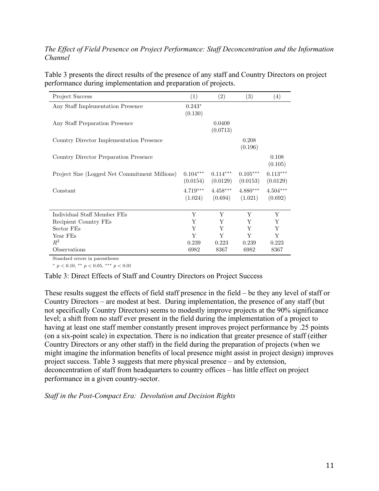#### *The Effect of Field Presence on Project Performance: Staff Deconcentration and the Information Channel*

Table 3 presents the direct results of the presence of any staff and Country Directors on project performance during implementation and preparation of projects.

| Project Success                               | (1)                    | (2)                    | (3)                    | (4)                    |
|-----------------------------------------------|------------------------|------------------------|------------------------|------------------------|
| Any Staff Implementation Presence             | $0.243*$<br>(0.130)    |                        |                        |                        |
| Any Staff Preparation Presence                |                        | 0.0409<br>(0.0713)     |                        |                        |
| Country Director Implementation Presence      |                        |                        | 0.208<br>(0.196)       |                        |
| Country Director Preparation Presence         |                        |                        |                        | 0.108<br>(0.105)       |
| Project Size (Logged Net Commitment Millions) | $0.104***$<br>(0.0154) | $0.114***$<br>(0.0129) | $0.105***$<br>(0.0153) | $0.113***$<br>(0.0129) |
| Constant                                      | $4.719***$<br>(1.024)  | $4.458***$<br>(0.694)  | $4.880***$<br>(1.021)  | $4.504***$<br>(0.692)  |
| Individual Staff Member FEs                   | Y                      | Y                      | Y                      | Y                      |
| Recipient Country FEs                         | Y                      | Y                      | Y                      | Y                      |
| Sector FEs                                    | Y                      | Y                      | Y                      | Y                      |
| Year FEs                                      | Y                      | Y                      | Y                      | Y                      |
| $R^2$                                         | 0.239                  | 0.223                  | 0.239                  | 0.223                  |
| Observations                                  | 6982                   | 8367                   | 6982                   | 8367                   |

Standard errors in parentheses

 $p < 0.10, \cdot^* p < 0.05, \cdot^{***} p < 0.01$ 

#### Table 3: Direct Effects of Staff and Country Directors on Project Success

These results suggest the effects of field staff presence in the field – be they any level of staff or Country Directors – are modest at best. During implementation, the presence of any staff (but not specifically Country Directors) seems to modestly improve projects at the 90% significance level; a shift from no staff ever present in the field during the implementation of a project to having at least one staff member constantly present improves project performance by .25 points (on a six-point scale) in expectation. There is no indication that greater presence of staff (either Country Directors or any other staff) in the field during the preparation of projects (when we might imagine the information benefits of local presence might assist in project design) improves project success. Table 3 suggests that mere physical presence – and by extension, deconcentration of staff from headquarters to country offices – has little effect on project performance in a given country-sector.

*Staff in the Post-Compact Era: Devolution and Decision Rights*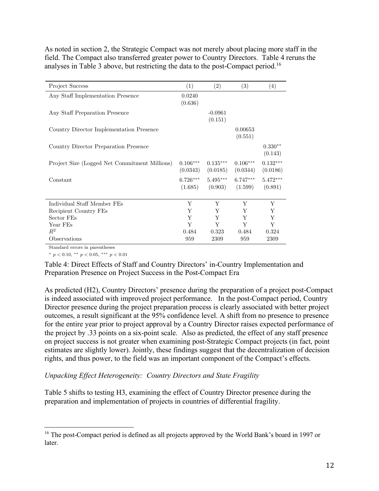As noted in section 2, the Strategic Compact was not merely about placing more staff in the field. The Compact also transferred greater power to Country Directors. Table 4 reruns the analyses in Table 3 above, but restricting the data to the post-Compact period.16

| Project Success                               | (1)                    | (2)                    |                        | (4)                    |
|-----------------------------------------------|------------------------|------------------------|------------------------|------------------------|
| Any Staff Implementation Presence             | 0.0240<br>(0.636)      |                        |                        |                        |
| Any Staff Preparation Presence                |                        | $-0.0961$<br>(0.151)   |                        |                        |
| Country Director Implementation Presence      |                        |                        | 0.00653<br>(0.551)     |                        |
| Country Director Preparation Presence         |                        |                        |                        | $0.330**$<br>(0.143)   |
| Project Size (Logged Net Commitment Millions) | $0.106***$<br>(0.0343) | $0.135***$<br>(0.0185) | $0.106***$<br>(0.0344) | $0.132***$<br>(0.0186) |
| Constant                                      | $6.726***$<br>(1.685)  | $5.495***$<br>(0.903)  | $6.747***$<br>(1.599)  | $5.472***$<br>(0.891)  |
| Individual Staff Member FEs                   | Y                      | Y                      | Y                      | Y                      |
| Recipient Country FEs                         | Y                      | Y                      | Y                      | Y                      |
| Sector FEs                                    | Y                      | Y                      | Y                      | Y                      |
| Year FEs                                      | Y                      | Y                      | Y                      | Y                      |
| $R^2$                                         | 0.484                  | 0.323                  | 0.484                  | 0.324                  |
| Observations                                  | 959                    | 2309                   | 959                    | 2309                   |

Standard errors in parentheses

 $*$   $p < 0.10, **$   $p < 0.05,***$   $p < 0.01$ 

Table 4: Direct Effects of Staff and Country Directors' in-Country Implementation and Preparation Presence on Project Success in the Post-Compact Era

As predicted (H2), Country Directors' presence during the preparation of a project post-Compact is indeed associated with improved project performance. In the post-Compact period, Country Director presence during the project preparation process is clearly associated with better project outcomes, a result significant at the 95% confidence level. A shift from no presence to presence for the entire year prior to project approval by a Country Director raises expected performance of the project by .33 points on a six-point scale. Also as predicted, the effect of any staff presence on project success is not greater when examining post-Strategic Compact projects (in fact, point estimates are slightly lower). Jointly, these findings suggest that the decentralization of decision rights, and thus power, to the field was an important component of the Compact's effects.

*Unpacking Effect Heterogeneity: Country Directors and State Fragility*

Table 5 shifts to testing H3, examining the effect of Country Director presence during the preparation and implementation of projects in countries of differential fragility.

<sup>&</sup>lt;sup>16</sup> The post-Compact period is defined as all projects approved by the World Bank's board in 1997 or later.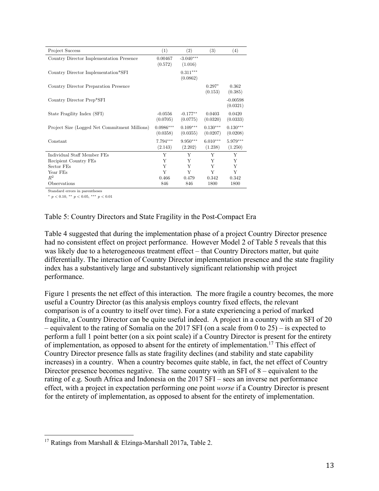| Project Success                               | (1)                     | (2)                    | (3)                    | (4)                    |
|-----------------------------------------------|-------------------------|------------------------|------------------------|------------------------|
| Country Director Implementation Presence      | 0.00467<br>(0.572)      | $-3.040***$<br>(1.016) |                        |                        |
| Country Director Implementation*SFI           |                         | $0.311***$<br>(0.0862) |                        |                        |
| Country Director Preparation Presence         |                         |                        | $0.297*$<br>(0.153)    | 0.362<br>(0.385)       |
| Country Director Prep*SFI                     |                         |                        |                        | $-0.00598$<br>(0.0321) |
| State Fragility Index (SFI)                   | $-0.0556$<br>(0.0705)   | $-0.177**$<br>(0.0775) | 0.0403<br>(0.0320)     | 0.0420<br>(0.0333)     |
| Project Size (Logged Net Commitment Millions) | $0.0986***$<br>(0.0358) | $0.109***$<br>(0.0355) | $0.130***$<br>(0.0207) | $0.130***$<br>(0.0208) |
| Constant                                      | $7.794***$<br>(2.143)   | $9.950***$<br>(2.202)  | $6.010***$<br>(1.238)  | $5.979***$<br>(1.250)  |
| Individual Staff Member FEs                   | Y                       | Y                      | Y                      | Y                      |
| Recipient Country FEs                         | Y                       | Y                      | Y                      | Y                      |
| Sector FEs                                    | Y                       | Y                      | Y                      | Y                      |
| Year FEs                                      | Y                       | Y                      | Y                      | Y                      |
| $R^2$                                         | 0.466                   | 0.479                  | 0.342                  | 0.342                  |
| Observations                                  | 846                     | 846                    | 1800                   | 1800                   |

Standard errors in parentheses

 $*$   $p < 0.10, **$   $p < 0.05,***$   $p < 0.01$ 

#### Table 5: Country Directors and State Fragility in the Post-Compact Era

Table 4 suggested that during the implementation phase of a project Country Director presence had no consistent effect on project performance. However Model 2 of Table 5 reveals that this was likely due to a heterogeneous treatment effect – that Country Directors matter, but quite differentially. The interaction of Country Director implementation presence and the state fragility index has a substantively large and substantively significant relationship with project performance.

Figure 1 presents the net effect of this interaction. The more fragile a country becomes, the more useful a Country Director (as this analysis employs country fixed effects, the relevant comparison is of a country to itself over time). For a state experiencing a period of marked fragilite, a Country Director can be quite useful indeed. A project in a country with an SFI of 20 – equivalent to the rating of Somalia on the 2017 SFI (on a scale from 0 to 25) – is expected to perform a full 1 point better (on a six point scale) if a Country Director is present for the entirety of implementation, as opposed to absent for the entirety of implementation.17 This effect of Country Director presence falls as state fragility declines (and stability and state capability increases) in a country. When a country becomes quite stable, in fact, the net effect of Country Director presence becomes negative. The same country with an SFI of 8 – equivalent to the rating of e.g. South Africa and Indonesia on the 2017 SFI – sees an inverse net performance effect, with a project in expectation performing one point *worse* if a Country Director is present 1for the entirety of implementation, as opposed to absent for the entirety of implementation.

<sup>&</sup>lt;sup>17</sup> Ratings from Marshall & Elzinga-Marshall 2017a, Table 2.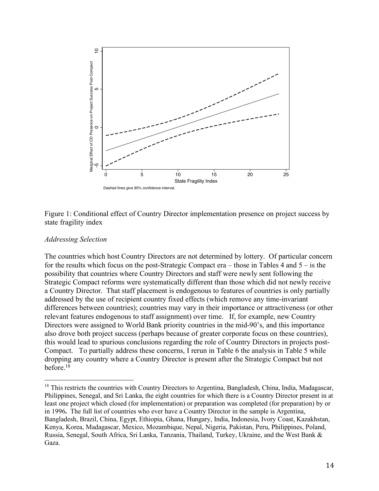



#### *Addressing Selection*

The countries which host Country Directors are not determined by lottery. Of particular concern for the results which focus on the post-Strategic Compact era – those in Tables 4 and 5 – is the possibility that countries where Country Directors and staff were newly sent following the Strategic Compact reforms were systematically different than those which did not newly receive a Country Director. That staff placement is endogenous to features of countries is only partially addressed by the use of recipient country fixed effects (which remove any time-invariant differences between countries); countries may vary in their importance or attractiveness (or other relevant features endogenous to staff assignment) over time. If, for example, new Country Directors were assigned to World Bank priority countries in the mid-90's, and this importance also drove both project success (perhaps because of greater corporate focus on these countries), this would lead to spurious conclusions regarding the role of Country Directors in projects post-Compact. To partially address these concerns, I rerun in Table 6 the analysis in Table 5 while dropping any country where a Country Director is present after the Strategic Compact but not before.18

<sup>&</sup>lt;sup>18</sup> This restricts the countries with Country Directors to Argentina, Bangladesh, China, India, Madagascar, Philippines, Senegal, and Sri Lanka, the eight countries for which there is a Country Director present in at least one project which closed (for implementation) or preparation was completed (for preparation) by or in 1996**.** The full list of countries who ever have a Country Director in the sample is Argentina, Bangladesh, Brazil, China, Egypt, Ethiopia, Ghana, Hungary, India, Indonesia, Ivory Coast, Kazakhstan, Kenya, Korea, Madagascar, Mexico, Mozambique, Nepal, Nigeria, Pakistan, Peru, Philippines, Poland, Russia, Senegal, South Africa, Sri Lanka, Tanzania, Thailand, Turkey, Ukraine, and the West Bank & Gaza.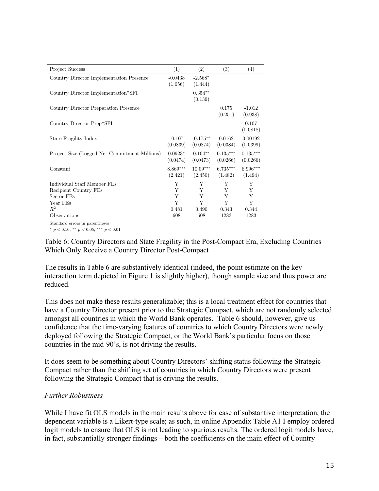| Project Success                               | (1)                   | (2)                    | (3)                    | (4)                    |
|-----------------------------------------------|-----------------------|------------------------|------------------------|------------------------|
| Country Director Implementation Presence      | $-0.0438$<br>(1.056)  | $-2.568*$<br>(1.444)   |                        |                        |
| Country Director Implementation*SFI           |                       | $0.354**$<br>(0.139)   |                        |                        |
| Country Director Preparation Presence         |                       |                        | 0.175<br>(0.251)       | $-1.012$<br>(0.938)    |
| Country Director Prep*SFI                     |                       |                        |                        | 0.107<br>(0.0818)      |
| State Fragility Index                         | $-0.107$<br>(0.0839)  | $-0.175**$<br>(0.0874) | 0.0162<br>(0.0384)     | 0.00192<br>(0.0399)    |
| Project Size (Logged Net Commitment Millions) | $0.0923*$<br>(0.0474) | $0.104**$<br>(0.0473)  | $0.135***$<br>(0.0266) | $0.135***$<br>(0.0266) |
| Constant                                      | $8.869***$<br>(2.421) | $10.09***$<br>(2.450)  | $6.735***$<br>(1.482)  | $6.996***$<br>(1.494)  |
| Individual Staff Member FEs                   | Y                     | Y                      | Y                      | Y                      |
| Recipient Country FEs                         | Y                     | Y                      | Y                      | Y                      |
| Sector FEs                                    | Y                     | Y                      | Y                      | Y                      |
| Year FEs                                      | Y                     | Y                      | Y                      | Y                      |
| $R^2$                                         | 0.481                 | 0.490                  | 0.343                  | 0.344                  |
| Observations                                  | 608                   | 608                    | 1283                   | 1283                   |

Standard errors in parentheses

 $p < 0.10, \ ^{**}p < 0.05, \ ^{***}p < 0.01$ 

Table 6: Country Directors and State Fragility in the Post-Compact Era, Excluding Countries Which Only Receive a Country Director Post-Compact

The results in Table 6 are substantively identical (indeed, the point estimate on the key interaction term depicted in Figure 1 is slightly higher), though sample size and thus power are reduced.

This does not make these results generalizable; this is a local treatment effect for countries that have a Country Director present prior to the Strategic Compact, which are not randomly selected amongst all countries in which the World Bank operates. Table 6 should, however, give us confidence that the time-varying features of countries to which Country Directors were newly deployed following the Strategic Compact, or the World Bank's particular focus on those countries in the mid-90's, is not driving the results.

It does seem to be something about Country Directors' shifting status following the Strategic Compact rather than the shifting set of countries in which Country Directors were present following the Strategic Compact that is driving the results.

#### *Further Robustness*

While I have fit OLS models in the main results above for ease of substantive interpretation, the dependent variable is a Likert-type scale; as such, in online Appendix Table A1 I employ ordered logit models to ensure that OLS is not leading to spurious results. The ordered logit models have, in fact, substantially stronger findings – both the coefficients on the main effect of Country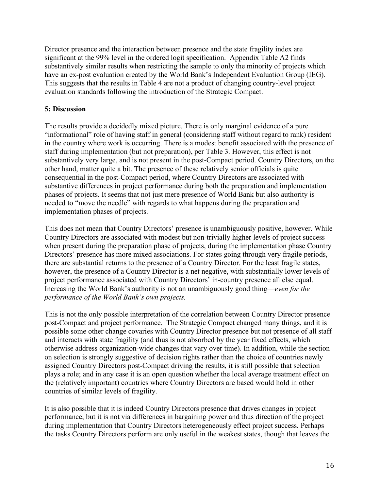Director presence and the interaction between presence and the state fragility index are significant at the 99% level in the ordered logit specification. Appendix Table A2 finds substantively similar results when restricting the sample to only the minority of projects which have an ex-post evaluation created by the World Bank's Independent Evaluation Group (IEG). This suggests that the results in Table 4 are not a product of changing country-level project evaluation standards following the introduction of the Strategic Compact.

## **5: Discussion**

The results provide a decidedly mixed picture. There is only marginal evidence of a pure "informational" role of having staff in general (considering staff without regard to rank) resident in the country where work is occurring. There is a modest benefit associated with the presence of staff during implementation (but not preparation), per Table 3. However, this effect is not substantively very large, and is not present in the post-Compact period. Country Directors, on the other hand, matter quite a bit. The presence of these relatively senior officials is quite consequential in the post-Compact period, where Country Directors are associated with substantive differences in project performance during both the preparation and implementation phases of projects. It seems that not just mere presence of World Bank but also authority is needed to "move the needle" with regards to what happens during the preparation and implementation phases of projects.

This does not mean that Country Directors' presence is unambiguously positive, however. While Country Directors are associated with modest but non-trivially higher levels of project success when present during the preparation phase of projects, during the implementation phase Country Directors' presence has more mixed associations. For states going through very fragile periods, there are substantial returns to the presence of a Country Director. For the least fragile states, however, the presence of a Country Director is a net negative, with substantially lower levels of project performance associated with Country Directors' in-country presence all else equal. Increasing the World Bank's authority is not an unambiguously good thing—*even for the performance of the World Bank's own projects.* 

This is not the only possible interpretation of the correlation between Country Director presence post-Compact and project performance. The Strategic Compact changed many things, and it is possible some other change covaries with Country Director presence but not presence of all staff and interacts with state fragility (and thus is not absorbed by the year fixed effects, which otherwise address organization-wide changes that vary over time). In addition, while the section on selection is strongly suggestive of decision rights rather than the choice of countries newly assigned Country Directors post-Compact driving the results, it is still possible that selection plays a role; and in any case it is an open question whether the local average treatment effect on the (relatively important) countries where Country Directors are based would hold in other countries of similar levels of fragility.

It is also possible that it is indeed Country Directors presence that drives changes in project performance, but it is not via differences in bargaining power and thus direction of the project during implementation that Country Directors heterogeneously effect project success. Perhaps the tasks Country Directors perform are only useful in the weakest states, though that leaves the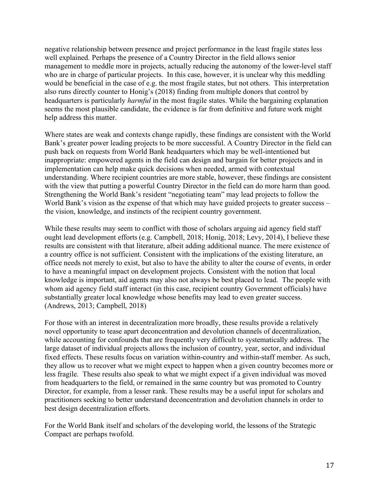negative relationship between presence and project performance in the least fragile states less well explained. Perhaps the presence of a Country Director in the field allows senior management to meddle more in projects, actually reducing the autonomy of the lower-level staff who are in charge of particular projects. In this case, however, it is unclear why this meddling would be beneficial in the case of e.g. the most fragile states, but not others. This interpretation also runs directly counter to Honig's (2018) finding from multiple donors that control by headquarters is particularly *harmful* in the most fragile states. While the bargaining explanation seems the most plausible candidate, the evidence is far from definitive and future work might help address this matter.

Where states are weak and contexts change rapidly, these findings are consistent with the World Bank's greater power leading projects to be more successful. A Country Director in the field can push back on requests from World Bank headquarters which may be well-intentioned but inappropriate: empowered agents in the field can design and bargain for better projects and in implementation can help make quick decisions when needed, armed with contextual understanding. Where recipient countries are more stable, however, these findings are consistent with the view that putting a powerful Country Director in the field can do more harm than good. Strengthening the World Bank's resident "negotiating team" may lead projects to follow the World Bank's vision as the expense of that which may have guided projects to greater success – the vision, knowledge, and instincts of the recipient country government.

While these results may seem to conflict with those of scholars arguing aid agency field staff ought lead development efforts (e.g. Campbell, 2018; Honig, 2018; Levy, 2014), I believe these results are consistent with that literature, albeit adding additional nuance. The mere existence of a country office is not sufficient. Consistent with the implications of the existing literature, an office needs not merely to exist, but also to have the ability to alter the course of events, in order to have a meaningful impact on development projects. Consistent with the notion that local knowledge is important, aid agents may also not always be best placed to lead. The people with whom aid agency field staff interact (in this case, recipient country Government officials) have substantially greater local knowledge whose benefits may lead to even greater success. (Andrews, 2013; Campbell, 2018)

For those with an interest in decentralization more broadly, these results provide a relatively novel opportunity to tease apart deconcentration and devolution channels of decentralization, while accounting for confounds that are frequently very difficult to systematically address. The large dataset of individual projects allows the inclusion of country, year, sector, and individual fixed effects. These results focus on variation within-country and within-staff member. As such, they allow us to recover what we might expect to happen when a given country becomes more or less fragile. These results also speak to what we might expect if a given individual was moved from headquarters to the field, or remained in the same country but was promoted to Country Director, for example, from a lesser rank. These results may be a useful input for scholars and practitioners seeking to better understand deconcentration and devolution channels in order to best design decentralization efforts.

For the World Bank itself and scholars of the developing world, the lessons of the Strategic Compact are perhaps twofold.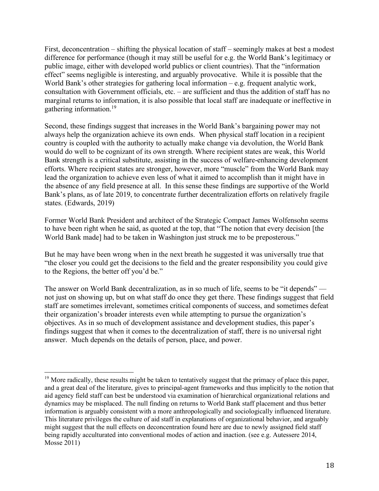First, deconcentration – shifting the physical location of staff – seemingly makes at best a modest difference for performance (though it may still be useful for e.g. the World Bank's legitimacy or public image, either with developed world publics or client countries). That the "information effect" seems negligible is interesting, and arguably provocative. While it is possible that the World Bank's other strategies for gathering local information – e.g. frequent analytic work, consultation with Government officials, etc. – are sufficient and thus the addition of staff has no marginal returns to information, it is also possible that local staff are inadequate or ineffective in gathering information.19

Second, these findings suggest that increases in the World Bank's bargaining power may not always help the organization achieve its own ends. When physical staff location in a recipient country is coupled with the authority to actually make change via devolution, the World Bank would do well to be cognizant of its own strength. Where recipient states are weak, this World Bank strength is a critical substitute, assisting in the success of welfare-enhancing development efforts. Where recipient states are stronger, however, more "muscle" from the World Bank may lead the organization to achieve even less of what it aimed to accomplish than it might have in the absence of any field presence at all. In this sense these findings are supportive of the World Bank's plans, as of late 2019, to concentrate further decentralization efforts on relatively fragile states. (Edwards, 2019)

Former World Bank President and architect of the Strategic Compact James Wolfensohn seems to have been right when he said, as quoted at the top, that "The notion that every decision [the World Bank made] had to be taken in Washington just struck me to be preposterous."

But he may have been wrong when in the next breath he suggested it was universally true that "the closer you could get the decisions to the field and the greater responsibility you could give to the Regions, the better off you'd be."

The answer on World Bank decentralization, as in so much of life, seems to be "it depends" not just on showing up, but on what staff do once they get there. These findings suggest that field staff are sometimes irrelevant, sometimes critical components of success, and sometimes defeat their organization's broader interests even while attempting to pursue the organization's objectives. As in so much of development assistance and development studies, this paper's findings suggest that when it comes to the decentralization of staff, there is no universal right answer. Much depends on the details of person, place, and power.

<sup>&</sup>lt;sup>19</sup> More radically, these results might be taken to tentatively suggest that the primacy of place this paper, and a great deal of the literature, gives to principal-agent frameworks and thus implicitly to the notion that aid agency field staff can best be understood via examination of hierarchical organizational relations and dynamics may be misplaced. The null finding on returns to World Bank staff placement and thus better information is arguably consistent with a more anthropologically and sociologically influenced literature. This literature privileges the culture of aid staff in explanations of organizational behavior, and arguably might suggest that the null effects on deconcentration found here are due to newly assigned field staff being rapidly acculturated into conventional modes of action and inaction. (see e.g. Autessere 2014, Mosse 2011)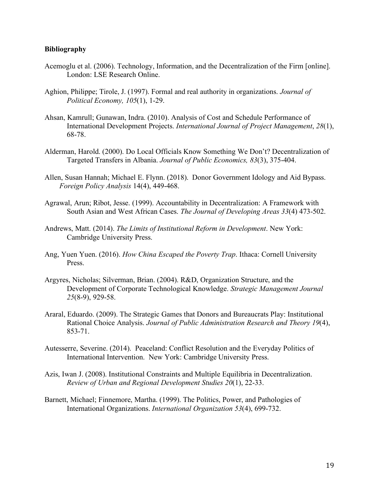#### **Bibliography**

- Acemoglu et al. (2006). Technology, Information, and the Decentralization of the Firm [online]. London: LSE Research Online.
- Aghion, Philippe; Tirole, J. (1997). Formal and real authority in organizations. *Journal of Political Economy, 105*(1), 1-29.
- Ahsan, Kamrull; Gunawan, Indra. (2010). Analysis of Cost and Schedule Performance of International Development Projects. *International Journal of Project Management*, *28*(1), 68-78.
- Alderman, Harold. (2000). Do Local Officials Know Something We Don't? Decentralization of Targeted Transfers in Albania. *Journal of Public Economics, 83*(3), 375-404.
- Allen, Susan Hannah; Michael E. Flynn. (2018). Donor Government Idology and Aid Bypass. *Foreign Policy Analysis* 14(4), 449-468.
- Agrawal, Arun; Ribot, Jesse. (1999). Accountability in Decentralization: A Framework with South Asian and West African Cases. *The Journal of Developing Areas 33*(4) 473-502.
- Andrews, Matt. (2014). *The Limits of Institutional Reform in Development*. New York: Cambridge University Press.
- Ang, Yuen Yuen. (2016). *How China Escaped the Poverty Trap*. Ithaca: Cornell University Press.
- Argyres, Nicholas; Silverman, Brian. (2004). R&D, Organization Structure, and the Development of Corporate Technological Knowledge. *Strategic Management Journal 25*(8-9), 929-58.
- Araral, Eduardo. (2009). The Strategic Games that Donors and Bureaucrats Play: Institutional Rational Choice Analysis. *Journal of Public Administration Research and Theory 19*(4), 853-71.
- Autesserre, Severine. (2014). Peaceland: Conflict Resolution and the Everyday Politics of International Intervention. New York: Cambridge University Press.
- Azis, Iwan J. (2008). Institutional Constraints and Multiple Equilibria in Decentralization. *Review of Urban and Regional Development Studies 20*(1), 22-33.
- Barnett, Michael; Finnemore, Martha. (1999). The Politics, Power, and Pathologies of International Organizations. *International Organization 53*(4), 699-732.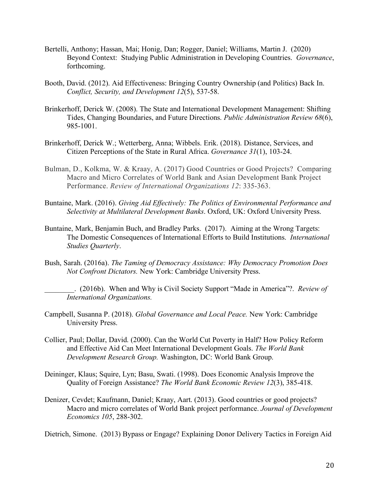- Bertelli, Anthony; Hassan, Mai; Honig, Dan; Rogger, Daniel; Williams, Martin J. (2020) Beyond Context: Studying Public Administration in Developing Countries. *Governance*, forthcoming.
- Booth, David. (2012). Aid Effectiveness: Bringing Country Ownership (and Politics) Back In. *Conflict, Security, and Development 12*(5), 537-58.
- Brinkerhoff, Derick W. (2008). The State and International Development Management: Shifting Tides, Changing Boundaries, and Future Directions. *Public Administration Review 68*(6), 985-1001.
- Brinkerhoff, Derick W.; Wetterberg, Anna; Wibbels. Erik. (2018). Distance, Services, and Citizen Perceptions of the State in Rural Africa. *Governance 31*(1), 103-24.
- Bulman, D., Kolkma, W. & Kraay, A. (2017) Good Countries or Good Projects? Comparing Macro and Micro Correlates of World Bank and Asian Development Bank Project Performance. *Review of International Organizations 12*: 335-363.
- Buntaine, Mark. (2016). *Giving Aid Effectively: The Politics of Environmental Performance and Selectivity at Multilateral Development Banks*. Oxford, UK: Oxford University Press.
- Buntaine, Mark, Benjamin Buch, and Bradley Parks. (2017). Aiming at the Wrong Targets: The Domestic Consequences of International Efforts to Build Institutions. *International Studies Quarterly*.
- Bush, Sarah. (2016a). *The Taming of Democracy Assistance: Why Democracy Promotion Does Not Confront Dictators.* New York: Cambridge University Press.

\_\_\_\_\_\_\_\_. (2016b). When and Why is Civil Society Support "Made in America"?. *Review of International Organizations.*

- Campbell, Susanna P. (2018). *Global Governance and Local Peace.* New York: Cambridge University Press.
- Collier, Paul; Dollar, David. (2000). Can the World Cut Poverty in Half? How Policy Reform and Effective Aid Can Meet International Development Goals. *The World Bank Development Research Group.* Washington, DC: World Bank Group.
- Deininger, Klaus; Squire, Lyn; Basu, Swati. (1998). Does Economic Analysis Improve the Quality of Foreign Assistance? *The World Bank Economic Review 12*(3), 385-418.
- Denizer, Cevdet; Kaufmann, Daniel; Kraay, Aart. (2013). Good countries or good projects? Macro and micro correlates of World Bank project performance. *Journal of Development Economics 105*, 288-302.

Dietrich, Simone. (2013) Bypass or Engage? Explaining Donor Delivery Tactics in Foreign Aid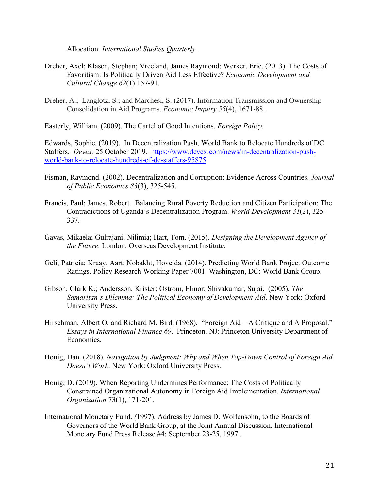Allocation. *International Studies Quarterly.*

- Dreher, Axel; Klasen, Stephan; Vreeland, James Raymond; Werker, Eric. (2013). The Costs of Favoritism: Is Politically Driven Aid Less Effective? *Economic Development and Cultural Change 62*(1) 157-91.
- Dreher, A.; Langlotz, S.; and Marchesi, S. (2017). Information Transmission and Ownership Consolidation in Aid Programs. *Economic Inquiry 55*(4), 1671-88.

Easterly, William. (2009). The Cartel of Good Intentions. *Foreign Policy.*

Edwards, Sophie. (2019). In Decentralization Push, World Bank to Relocate Hundreds of DC Staffers. *Devex,* 25 October 2019. https://www.devex.com/news/in-decentralization-pushworld-bank-to-relocate-hundreds-of-dc-staffers-95875

- Fisman, Raymond. (2002). Decentralization and Corruption: Evidence Across Countries. *Journal of Public Economics 83*(3), 325-545.
- Francis, Paul; James, Robert. Balancing Rural Poverty Reduction and Citizen Participation: The Contradictions of Uganda's Decentralization Program. *World Development 31*(2), 325- 337.
- Gavas, Mikaela; Gulrajani, Nilimia; Hart, Tom. (2015). *Designing the Development Agency of the Future*. London: Overseas Development Institute.
- Geli, Patricia; Kraay, Aart; Nobakht, Hoveida. (2014). Predicting World Bank Project Outcome Ratings. Policy Research Working Paper 7001. Washington, DC: World Bank Group.
- Gibson, Clark K.; Andersson, Krister; Ostrom, Elinor; Shivakumar, Sujai. (2005). *The Samaritan's Dilemma: The Political Economy of Development Aid*. New York: Oxford University Press.
- Hirschman, Albert O. and Richard M. Bird. (1968). "Foreign Aid A Critique and A Proposal." *Essays in International Finance 69*. Princeton, NJ: Princeton University Department of Economics.
- Honig, Dan. (2018). *Navigation by Judgment: Why and When Top-Down Control of Foreign Aid Doesn't Work*. New York: Oxford University Press.
- Honig, D. (2019). When Reporting Undermines Performance: The Costs of Politically Constrained Organizational Autonomy in Foreign Aid Implementation. *International Organization* 73(1), 171-201.
- International Monetary Fund. *(*1997). Address by James D. Wolfensohn, to the Boards of Governors of the World Bank Group, at the Joint Annual Discussion. International Monetary Fund Press Release #4: September 23-25, 1997..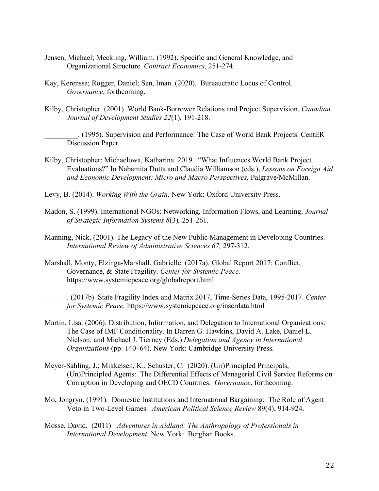- Jensen, Michael; Meckling, William. (1992). Specific and General Knowledge, and Organizational Structure. *Contract Economics,* 251-274.
- Kay, Kerenssa; Rogger, Daniel; Sen, Iman. (2020). Bureaucratic Locus of Control. *Governance*, forthcoming.
- Kilby, Christopher. (2001). World Bank-Borrower Relations and Project Supervision. *Canadian Journal of Development Studies 22*(1)*,* 191-218.

\_\_\_\_\_\_\_\_\_. (1995). Supervision and Performance: The Case of World Bank Projects. CentER Discussion Paper.

- Kilby, Christopher; Michaelowa, Katharina. 2019. "What Influences World Bank Project Evaluations?" In Nabamita Dutta and Claudia Williamson (eds.), *Lessons on Foreign Aid and Economic Development: Micro and Macro Perspectives*, Palgrave/McMillan.
- Levy, B. (2014). *Working With the Grain*. New York: Oxford University Press.
- Madon, S. (1999). International NGOs: Networking, Information Flows, and Learning. *Journal of Strategic Information Systems 8*(3)*,* 251-261.
- Manning, Nick. (2001). The Legacy of the New Public Management in Developing Countries. *International Review of Administrative Sciences 67,* 297-312.
- Marshall, Monty, Elzinga-Marshall, Gabrielle. (2017a). Global Report 2017: Conflict, Governance, & State Fragility. *Center for Systemic Peace.*  https://www.systemicpeace.org/globalreport.html

\_\_\_\_\_\_. (2017b). State Fragility Index and Matrix 2017, Time-Series Data, 1995-2017. *Center for Systemic Peace.* https://www.systemicpeace.org/inscrdata.html

- Martin, Lisa. (2006). Distribution, Information, and Delegation to International Organizations: The Case of IMF Conditionality. In Darren G. Hawkins, David A. Lake, Daniel L. Nielson, and Michael J. Tierney (Eds.) *Delegation and Agency in International Organizations* (pp. 140–64). New York: Cambridge University Press.
- Meyer-Sahling, J.; Mikkelsen, K.; Schuster, C. (2020). (Un)Principled Principals, (Un)Principled Agents: The Differential Effects of Managerial Civil Service Reforms on Corruption in Developing and OECD Countries. *Governance*, forthcoming.
- Mo, Jongryn. (1991). Domestic Institutions and International Bargaining: The Role of Agent Veto in Two-Level Games. *American Political Science Review* 89(4), 914-924.
- Mosse, David. (2011) *Adventures in Aidland: The Anthropology of Professionals in International Development.* New York: Berghan Books.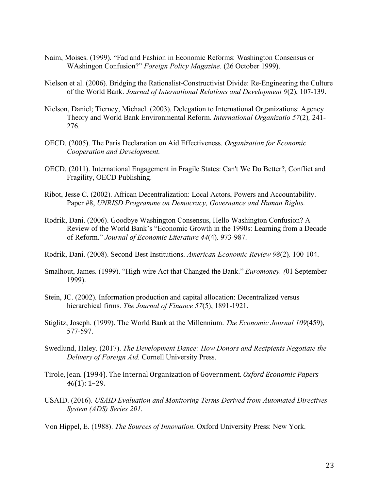- Naim, Moises. (1999). "Fad and Fashion in Economic Reforms: Washington Consensus or WAshingon Confusion?" *Foreign Policy Magazine.* (26 October 1999).
- Nielson et al. (2006). Bridging the Rationalist-Constructivist Divide: Re-Engineering the Culture of the World Bank. *Journal of International Relations and Development 9*(2), 107-139.
- Nielson, Daniel; Tierney, Michael. (2003). Delegation to International Organizations: Agency Theory and World Bank Environmental Reform. *International Organizatio 57*(2)*,* 241- 276.
- OECD. (2005). The Paris Declaration on Aid Effectiveness. *Organization for Economic Cooperation and Development.*
- OECD. (2011). International Engagement in Fragile States: Can't We Do Better?, Conflict and Fragility, OECD Publishing.
- Ribot, Jesse C. (2002). African Decentralization: Local Actors, Powers and Accountability. Paper #8, *UNRISD Programme on Democracy, Governance and Human Rights.*
- Rodrik, Dani. (2006). Goodbye Washington Consensus, Hello Washington Confusion? A Review of the World Bank's "Economic Growth in the 1990s: Learning from a Decade of Reform." *Journal of Economic Literature 44*(4)*,* 973-987.
- Rodrik, Dani. (2008). Second-Best Institutions. *American Economic Review 98*(2)*,* 100-104.
- Smalhout, James. (1999). "High-wire Act that Changed the Bank." *Euromoney. (*01 September 1999).
- Stein, JC. (2002). Information production and capital allocation: Decentralized versus hierarchical firms. *The Journal of Finance 57*(5), 1891-1921.
- Stiglitz, Joseph. (1999). The World Bank at the Millennium. *The Economic Journal 109*(459), 577-597.
- Swedlund, Haley. (2017). *The Development Dance: How Donors and Recipients Negotiate the Delivery of Foreign Aid.* Cornell University Press.
- Tirole, Jean. (1994). The Internal Organization of Government. Oxford Economic Papers *46*(1): 1–29.
- USAID. (2016). *USAID Evaluation and Monitoring Terms Derived from Automated Directives System (ADS) Series 201.*

Von Hippel, E. (1988). *The Sources of Innovation*. Oxford University Press: New York.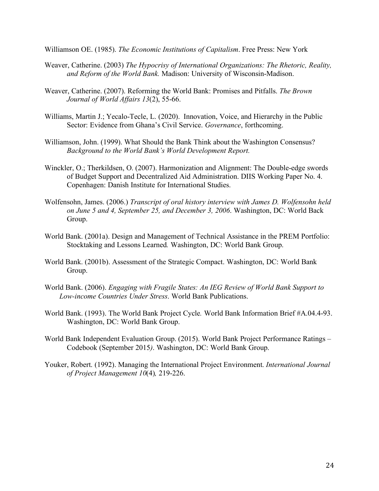Williamson OE. (1985). *The Economic Institutions of Capitalism*. Free Press: New York

- Weaver, Catherine. (2003) *The Hypocrisy of International Organizations: The Rhetoric, Reality, and Reform of the World Bank.* Madison: University of Wisconsin-Madison.
- Weaver, Catherine. (2007). Reforming the World Bank: Promises and Pitfalls. *The Brown Journal of World Affairs 13*(2), 55-66.
- Williams, Martin J.; Yecalo-Tecle, L. (2020). Innovation, Voice, and Hierarchy in the Public Sector: Evidence from Ghana's Civil Service. *Governance*, forthcoming.
- Williamson, John. (1999). What Should the Bank Think about the Washington Consensus? *Background to the World Bank's World Development Report.*
- Winckler, O.; Therkildsen, O. (2007). Harmonization and Alignment: The Double-edge swords of Budget Support and Decentralized Aid Administration. DIIS Working Paper No. 4. Copenhagen: Danish Institute for International Studies.
- Wolfensohn, James. (2006.) *Transcript of oral history interview with James D. Wolfensohn held on June 5 and 4, September 25, and December 3, 2006*. Washington, DC: World Back Group.
- World Bank. (2001a). Design and Management of Technical Assistance in the PREM Portfolio: Stocktaking and Lessons Learned*.* Washington, DC: World Bank Group.
- World Bank. (2001b). Assessment of the Strategic Compact. Washington, DC: World Bank Group.
- World Bank. (2006). *Engaging with Fragile States: An IEG Review of World Bank Support to Low-income Countries Under Stress*. World Bank Publications.
- World Bank. (1993). The World Bank Project Cycle*.* World Bank Information Brief #A.04.4-93. Washington, DC: World Bank Group.
- World Bank Independent Evaluation Group. (2015). World Bank Project Performance Ratings Codebook (September 2015*)*. Washington, DC: World Bank Group.
- Youker, Robert. (1992). Managing the International Project Environment. *International Journal of Project Management 10*(4)*,* 219-226.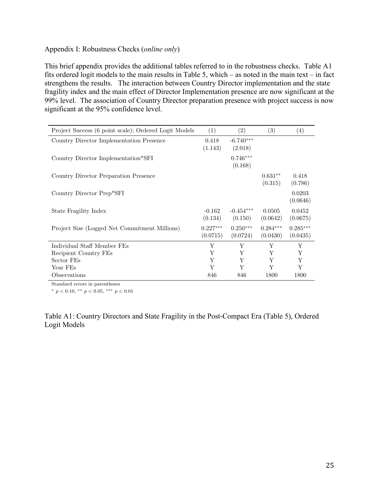#### Appendix I: Robustness Checks (*online only*)

This brief appendix provides the additional tables referred to in the robustness checks. Table A1 fits ordered logit models to the main results in Table 5, which – as noted in the main text – in fact strengthens the results. The interaction between Country Director implementation and the state fragility index and the main effect of Director Implementation presence are now significant at the 99% level. The association of Country Director preparation presence with project success is now significant at the 95% confidence level.

| Project Success (6 point scale); Ordered Logit Models | (1)                    | (2)                    | (3)                    | (4)                    |
|-------------------------------------------------------|------------------------|------------------------|------------------------|------------------------|
| Country Director Implementation Presence              | 0.418<br>(1.143)       | $-6.740***$<br>(2.018) |                        |                        |
| Country Director Implementation*SFI                   |                        | $0.746***$<br>(0.168)  |                        |                        |
| Country Director Preparation Presence                 |                        |                        | $0.631**$<br>(0.315)   | 0.418<br>(0.786)       |
| Country Director Prep*SFI                             |                        |                        |                        | 0.0203<br>(0.0646)     |
| State Fragility Index                                 | $-0.162$<br>(0.134)    | $-0.454***$<br>(0.150) | 0.0505<br>(0.0642)     | 0.0452<br>(0.0675)     |
| Project Size (Logged Net Commitment Millions)         | $0.227***$<br>(0.0715) | $0.250***$<br>(0.0724) | $0.284***$<br>(0.0430) | $0.285***$<br>(0.0435) |
| Individual Staff Member FEs                           | Y                      | Y                      | Y                      | Y                      |
| Recipient Country FEs                                 | Y                      | Y                      | Y                      | Y                      |
| Sector FEs                                            | Y                      | Y                      | Y                      | Y                      |
| Year FEs                                              | Y                      | Y                      | Y                      | Y                      |
| Observations                                          | 846                    | 846                    | 1800                   | 1800                   |

Standard errors in parentheses

 $*$   $p < 0.10, **$   $p < 0.05,***$   $p < 0.01$ 

Table A1: Country Directors and State Fragility in the Post-Compact Era (Table 5), Ordered Logit Models